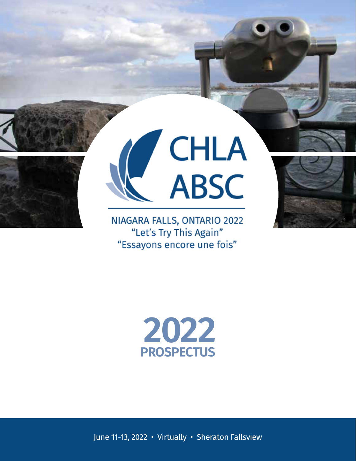

"Let's Try This Again" "Essayons encore une fois"



June 11-13, 2022 • Virtually • Sheraton Fallsview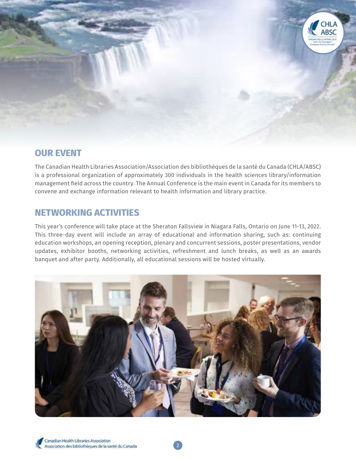

## **OUR EVENT**

The Canadian Health Libraries Association/Association des bibliothèques de la santé du Canada (CHLA/ABSC) is a professional organization of approximately 300 individuals in the health sciences library/information management field across the country. The Annual Conference is the main event in Canada for its members to convene and exchange information relevant to health information and library practice.

## **NETWORKING ACTIVITIES**

This year's conference will take place at the Sheraton Fallsview in Niagara Falls, Ontario on June 11-13, 2022. This three-day event will include an array of educational and information sharing, such as: continuing education workshops, an opening reception, plenary and concurrent sessions, poster presentations, vendor updates, exhibitor booths, networking activities, refreshment and lunch breaks, as well as an awards banquet and after party. Additionally, all educational sessions will be hosted virtually.



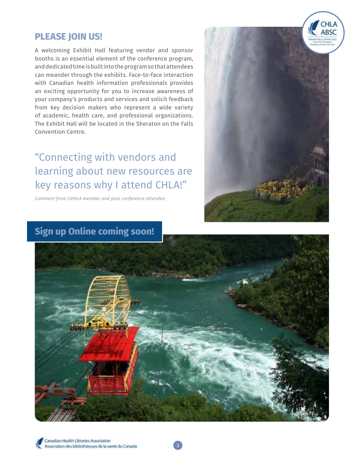## **PLEASE JOIN US!**

A welcoming Exhibit Hall featuring vendor and sponsor booths is an essential element of the conference program, and dedicated time is built into the program so that attendees can meander through the exhibits. Face-to-face interaction with Canadian health information professionals provides an exciting opportunity for you to increase awareness of your company's products and services and solicit feedback from key decision makers who represent a wide variety of academic, health care, and professional organizations. The Exhibit Hall will be located in the Sheraton on the Falls Convention Centre.

"Connecting with vendors and learning about new resources are key reasons why I attend CHLA!"

*Comment from OVHLA member and past conference attendee*



# **Sign up Online coming soon!**



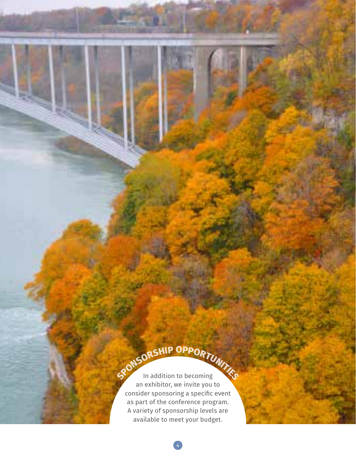**SPORSHIP OPPORTUNITIES** an exhibitor, we invite you to consider sponsoring a specific event as part of the conference program. A variety of sponsorship levels are available to meet your budget.

4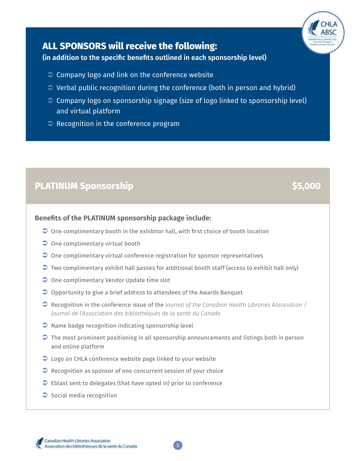

# **ALL SPONSORS will receive the following:**

**(in addition to the specific benefits outlined in each sponsorship level)**

- $\supset$  Company logo and link on the conference website
- $\supset$  Verbal public recognition during the conference (both in person and hybrid)
- ◯ Company logo on sponsorship signage (size of logo linked to sponsorship level) and virtual platform
- $\supset$  Recognition in the conference program

# **PLATINUM Sponsorship** *\$5,000*

#### **Benefits of the PLATINUM sponsorship package include:**

- $\supset$  One complimentary booth in the exhibitor hall, with first choice of booth location
- $\supset$  One complimentary virtual booth
- $\supset$  One complimentary virtual conference registration for sponsor representatives
- $\supset$  Two complimentary exhibit hall passes for additional booth staff (access to exhibit hall only)
- **◯** One complimentary Vendor Update time slot
- $\supset$  Opportunity to give a brief address to attendees of the Awards Banquet
- Recognition in the conference issue of the *Journal of the Canadian Health Libraries Association / Journal de l'Association des bibliothèques de la santé du Canada*
- $\supset$  Name badge recognition indicating sponsorship level
- $\supset$  The most prominent positioning in all sponsorship announcements and listings both in person and online platform
- $\supset$  Logo on CHLA conference website page linked to your website
- $\supset$  Recognition as sponsor of one concurrent session of your choice
- $\supset$  Eblast sent to delegates (that have opted in) prior to conference
- $\supset$  Social media recognition

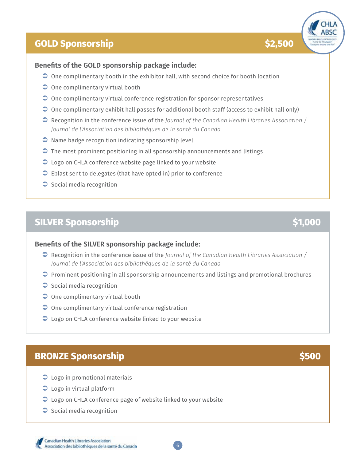# **GOLD Sponsorship \$2,500**

#### **Benefits of the GOLD sponsorship package include:**

- $\supset$  One complimentary booth in the exhibitor hall, with second choice for booth location
- $\supset$  One complimentary virtual booth
- $\supset$  One complimentary virtual conference registration for sponsor representatives
- $\supset$  One complimentary exhibit hall passes for additional booth staff (access to exhibit hall only)
- Recognition in the conference issue of the *Journal of the Canadian Health Libraries Association / Journal de l'Association des bibliothèques de la santé du Canada*
- $\supset$  Name badge recognition indicating sponsorship level
- $\supset$  The most prominent positioning in all sponsorship announcements and listings
- $\supset$  Logo on CHLA conference website page linked to your website
- $\supset$  Eblast sent to delegates (that have opted in) prior to conference
- $\supset$  Social media recognition

# **SILVER Sponsorship \$1,000**

#### **Benefits of the SILVER sponsorship package include:**

- Recognition in the conference issue of the *Journal of the Canadian Health Libraries Association / Journal de l'Association des bibliothèques de la santé du Canada*
- $\supset$  Prominent positioning in all sponsorship announcements and listings and promotional brochures
- $\supset$  Social media recognition
- $\supset$  One complimentary virtual booth
- $\supset$  One complimentary virtual conference registration
- $\supset$  Logo on CHLA conference website linked to your website

# **BRONZE Sponsorship \$500**

- $\supset$  Logo in promotional materials
- $\supset$  Logo in virtual platform
- Logo on CHLA conference page of website linked to your website
- $\supset$  Social media recognition



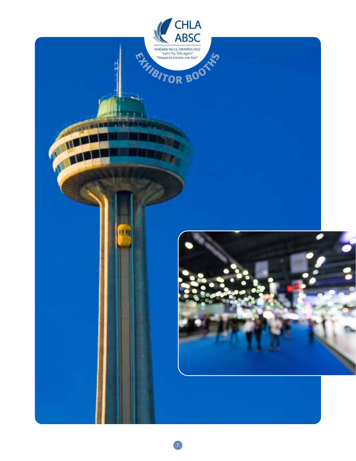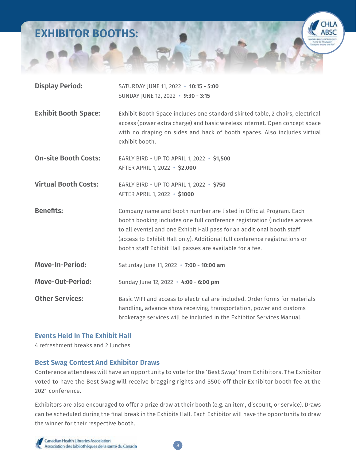# **EXHIBITOR BOOTHS:**

| <b>Display Period:</b>      | SATURDAY JUNE 11, 2022 · 10:15 - 5:00<br>SUNDAY JUNE 12, 2022 · 9:30 - 3:15                                                                                                                                                                                                                                                                                        |
|-----------------------------|--------------------------------------------------------------------------------------------------------------------------------------------------------------------------------------------------------------------------------------------------------------------------------------------------------------------------------------------------------------------|
| <b>Exhibit Booth Space:</b> | Exhibit Booth Space includes one standard skirted table, 2 chairs, electrical<br>access (power extra charge) and basic wireless internet. Open concept space<br>with no draping on sides and back of booth spaces. Also includes virtual<br>exhibit booth.                                                                                                         |
| <b>On-site Booth Costs:</b> | EARLY BIRD - UP TO APRIL 1, 2022 · \$1,500<br>AFTER APRIL 1, 2022 · \$2,000                                                                                                                                                                                                                                                                                        |
| <b>Virtual Booth Costs:</b> | EARLY BIRD - UP TO APRIL 1, 2022 · \$750<br>AFTER APRIL 1, 2022 · \$1000                                                                                                                                                                                                                                                                                           |
| <b>Benefits:</b>            | Company name and booth number are listed in Official Program. Each<br>booth booking includes one full conference registration (includes access<br>to all events) and one Exhibit Hall pass for an additional booth staff<br>(access to Exhibit Hall only). Additional full conference registrations or<br>booth staff Exhibit Hall passes are available for a fee. |
| <b>Move-In-Period:</b>      | Saturday June 11, 2022 · 7:00 - 10:00 am                                                                                                                                                                                                                                                                                                                           |
| <b>Move-Out-Period:</b>     | Sunday June 12, 2022 · 4:00 - 6:00 pm                                                                                                                                                                                                                                                                                                                              |
| <b>Other Services:</b>      | Basic WIFI and access to electrical are included. Order forms for materials<br>handling, advance show receiving, transportation, power and customs<br>brokerage services will be included in the Exhibitor Services Manual.                                                                                                                                        |

#### **Events Held In The Exhibit Hall**

4 refreshment breaks and 2 lunches.

### **Best Swag Contest And Exhibitor Draws**

Conference attendees will have an opportunity to vote for the 'Best Swag' from Exhibitors. The Exhibitor voted to have the Best Swag will receive bragging rights and \$500 off their Exhibitor booth fee at the 2021 conference.

Exhibitors are also encouraged to offer a prize draw at their booth (e.g. an item, discount, or service). Draws can be scheduled during the final break in the Exhibits Hall. Each Exhibitor will have the opportunity to draw the winner for their respective booth.

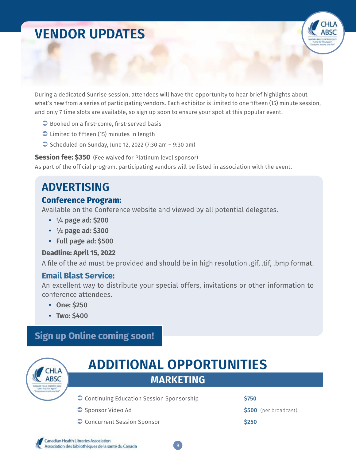# **VENDOR UPDATES**

During a dedicated Sunrise session, attendees will have the opportunity to hear brief highlights about what's new from a series of participating vendors. Each exhibitor is limited to one fifteen (15) minute session, and only 7 time slots are available, so sign up soon to ensure your spot at this popular event!

- **●** Booked on a first-come, first-served basis
- $\supset$  Limited to fifteen (15) minutes in length
- $\supset$  Scheduled on Sunday, June 12, 2022 (7:30 am 9:30 am)

**Session fee: \$350** (Fee waived for Platinum level sponsor) As part of the official program, participating vendors will be listed in association with the event.

# **ADVERTISING**

### **Conference Program:**

Available on the Conference website and viewed by all potential delegates.

- **¼ page ad: \$200**
- **½ page ad: \$300**
- **Full page ad: \$500**

#### **Deadline: April 15, 2022**

A file of the ad must be provided and should be in high resolution .gif, .tif, .bmp format.

### **Email Blast Service:**

An excellent way to distribute your special offers, invitations or other information to conference attendees.

- **One: \$250**
- **Two: \$400**

# **Sign up Online coming soon!**





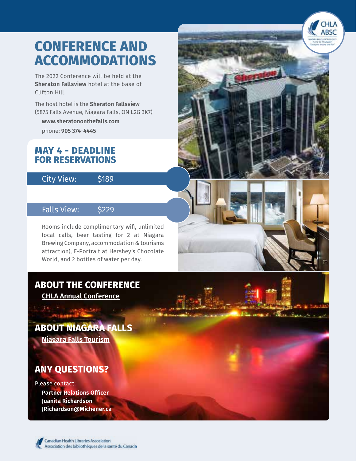# **CONFERENCE AND ACCOMMODATIONS**

ABSC

The 2022 Conference will be held at the **Sheraton Fallsview** hotel at the base of Clifton Hill.

The host hotel is the **Sheraton Fallsview** (5875 Falls Avenue, Niagara Falls, ON L2G 3K7) **www.sheratononthefalls.com** phone: **905 374-4445**

### **MAY 4 - DEADLINE FOR RESERVATIONS**

City View: \$189

### Falls View: \$229

Rooms include complimentary wifi, unlimited local calls, beer tasting for 2 at Niagara Brewing Company, accommodation & tourisms attraction), E-Portrait at Hershey's Chocolate World, and 2 bottles of water per day.

# **ABOUT THE CONFERENCE**

**[CHLA Annual Conference](https://www.chla-absc.ca/annual_conference.php/)**

**ABOUT NIAGARA FALLS [Niagara Falls Tourism](https://www.niagarafallstourism.com)**

# **ANY QUESTIONS?**

Please contact: **Partner Relations Officer Juanita Richardson JRichardson@Michener.ca**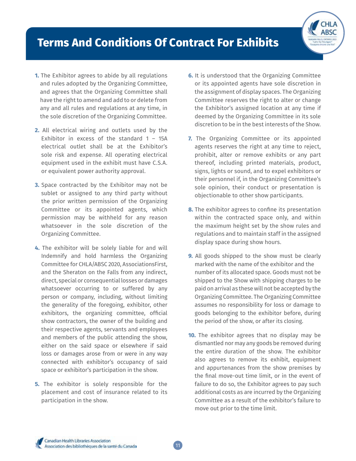# **Terms And Conditions Of Contract For Exhibits**

- **1.** The Exhibitor agrees to abide by all regulations and rules adopted by the Organizing Committee, and agrees that the Organizing Committee shall have the right to amend and add to or delete from any and all rules and regulations at any time, in the sole discretion of the Organizing Committee.
- **2.** All electrical wiring and outlets used by the Exhibitor in excess of the standard  $1 - 15A$ electrical outlet shall be at the Exhibitor's sole risk and expense. All operating electrical equipment used in the exhibit must have C.S.A. or equivalent power authority approval.
- **3.** Space contracted by the Exhibitor may not be sublet or assigned to any third party without the prior written permission of the Organizing Committee or its appointed agents, which permission may be withheld for any reason whatsoever in the sole discretion of the Organizing Committee.
- **4.** The exhibitor will be solely liable for and will Indemnify and hold harmless the Organizing Committee for CHLA/ABSC 2020, AssociationsFirst, and the Sheraton on the Falls from any indirect, direct, special or consequential losses or damages whatsoever occurring to or suffered by any person or company, including, without limiting the generality of the foregoing, exhibitor, other exhibitors, the organizing committee, official show contractors, the owner of the building and their respective agents, servants and employees and members of the public attending the show, either on the said space or elsewhere if said loss or damages arose from or were in any way connected with exhibitor's occupancy of said space or exhibitor's participation in the show.
- **5.** The exhibitor is solely responsible for the placement and cost of insurance related to its participation in the show.

11

- **6.** It is understood that the Organizing Committee or its appointed agents have sole discretion in the assignment of display spaces. The Organizing Committee reserves the right to alter or change the Exhibitor's assigned location at any time if deemed by the Organizing Committee in its sole discretion to be in the best interests of the Show.
- **7.** The Organizing Committee or its appointed agents reserves the right at any time to reject, prohibit, alter or remove exhibits or any part thereof, including printed materials, product, signs, lights or sound, and to expel exhibitors or their personnel if, in the Organizing Committee's sole opinion, their conduct or presentation is objectionable to other show participants.
- **8.** The exhibitor agrees to confine its presentation Within the contracted space only, and within the maximum height set by the show rules and regulations and to maintain staff in the assigned display space during show hours.
- **9.** All goods shipped to the show must be clearly marked with the name of the exhibitor and the number of its allocated space. Goods must not be shipped to the Show with shipping charges to be paid on arrival as these will not be accepted by the Organizing Committee. The Organizing Committee assumes no responsibility for loss or damage to goods belonging to the exhibitor before, during the period of the show, or after its closing.
- **10.** The exhibitor agrees that no display may be dismantled nor may any goods be removed during the entire duration of the show. The exhibitor also agrees to remove its exhibit, equipment and appurtenances from the show premises by the final move-out time limit, or in the event of failure to do so, the Exhibitor agrees to pay such additional costs as are incurred by the Organizing Committee as a result of the exhibitor's failure to move out prior to the time limit.